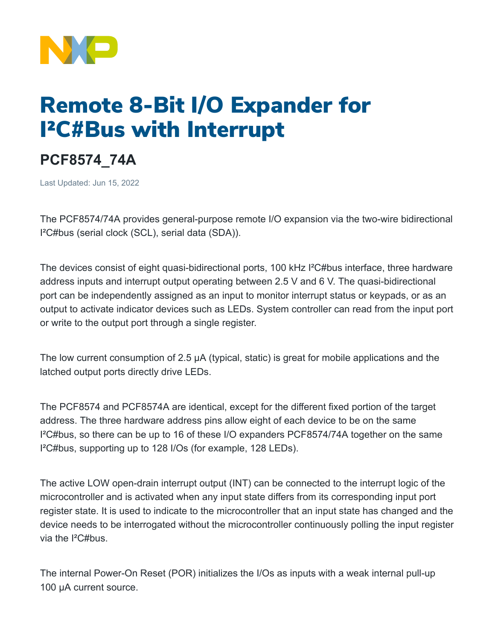

## Remote 8-Bit I/O Expander for I²C#Bus with Interrupt

## **PCF8574\_74A**

Last Updated: Jun 15, 2022

The PCF8574/74A provides general-purpose remote I/O expansion via the two-wire bidirectional I²C#bus (serial clock (SCL), serial data (SDA)).

The devices consist of eight quasi-bidirectional ports, 100 kHz I²C#bus interface, three hardware address inputs and interrupt output operating between 2.5 V and 6 V. The quasi-bidirectional port can be independently assigned as an input to monitor interrupt status or keypads, or as an output to activate indicator devices such as LEDs. System controller can read from the input port or write to the output port through a single register.

The low current consumption of 2.5 μA (typical, static) is great for mobile applications and the latched output ports directly drive LEDs.

The PCF8574 and PCF8574A are identical, except for the different fixed portion of the target address. The three hardware address pins allow eight of each device to be on the same I²C#bus, so there can be up to 16 of these I/O expanders PCF8574/74A together on the same I²C#bus, supporting up to 128 I/Os (for example, 128 LEDs).

The active LOW open-drain interrupt output (INT) can be connected to the interrupt logic of the microcontroller and is activated when any input state differs from its corresponding input port register state. It is used to indicate to the microcontroller that an input state has changed and the device needs to be interrogated without the microcontroller continuously polling the input register via the I²C#bus.

The internal Power-On Reset (POR) initializes the I/Os as inputs with a weak internal pull-up 100 μA current source.